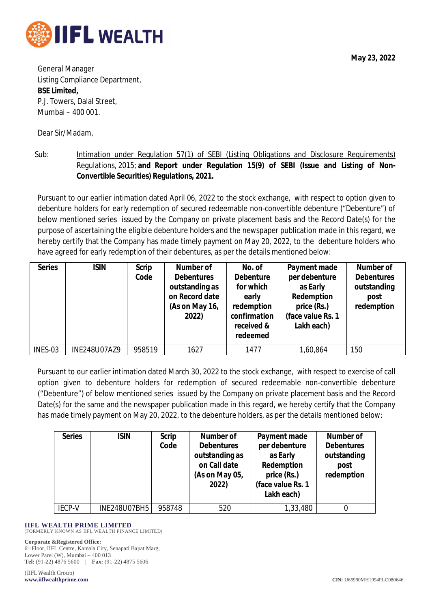

**May 23, 2022**

General Manager Listing Compliance Department, **BSE Limited,** P.J. Towers, Dalal Street, Mumbai – 400 001.

Dear Sir/Madam,

Sub: Intimation under Regulation 57(1) of SEBI (Listing Obligations and Disclosure Requirements) Regulations, 2015; **and Report under Regulation 15(9) of SEBI (Issue and Listing of Non-Convertible Securities) Regulations, 2021.**

Pursuant to our earlier intimation dated April 06, 2022 to the stock exchange, with respect to option given to debenture holders for early redemption of secured redeemable non-convertible debenture ("Debenture") of below mentioned series issued by the Company on private placement basis and the Record Date(s) for the purpose of ascertaining the eligible debenture holders and the newspaper publication made in this regard, we hereby certify that the Company has made timely payment on May 20, 2022, to the debenture holders who have agreed for early redemption of their debentures, as per the details mentioned below:

| <b>Series</b> | <b>ISIN</b>  | <b>Scrip</b><br>Code | <b>Number of</b><br><b>Debentures</b><br>outstanding as<br>on Record date<br>(As on May 16,<br>2022) | No. of<br><b>Debenture</b><br>for which<br>early<br>redemption<br>confirmation<br>received &<br>redeemed | Payment made<br>per debenture<br>as Early<br>Redemption<br>price (Rs.)<br>(face value Rs. 1<br>Lakh each) | Number of<br><b>Debentures</b><br>outstanding<br>post<br>redemption |
|---------------|--------------|----------------------|------------------------------------------------------------------------------------------------------|----------------------------------------------------------------------------------------------------------|-----------------------------------------------------------------------------------------------------------|---------------------------------------------------------------------|
| INES-03       | INE248U07AZ9 | 958519               | 1627                                                                                                 | 1477                                                                                                     | 1,60,864                                                                                                  | 150                                                                 |

Pursuant to our earlier intimation dated March 30, 2022 to the stock exchange, with respect to exercise of call option given to debenture holders for redemption of secured redeemable non-convertible debenture ("Debenture") of below mentioned series issued by the Company on private placement basis and the Record Date(s) for the same and the newspaper publication made in this regard, we hereby certify that the Company has made timely payment on May 20, 2022, to the debenture holders, as per the details mentioned below:

| <b>Series</b> | <b>ISIN</b>  | <b>Scrip</b><br>Code | Number of<br><b>Debentures</b><br>outstanding as<br>on Call date<br>(As on May 05,<br>2022) | Payment made<br>per debenture<br>as Early<br>Redemption<br>price (Rs.)<br>(face value Rs. 1<br>Lakh each) | <b>Number of</b><br><b>Debentures</b><br>outstanding<br>post<br>redemption |
|---------------|--------------|----------------------|---------------------------------------------------------------------------------------------|-----------------------------------------------------------------------------------------------------------|----------------------------------------------------------------------------|
| <b>IECP-V</b> | INE248U07BH5 | 958748               | 520                                                                                         | 1,33,480                                                                                                  |                                                                            |

## **IIFL WEALTH PRIME LIMITED**

(FORMERLY KNOWN AS IIFL WEALTH FINANCE LIMITED)

## **Corporate &Registered Office:**

6 th Floor, IIFL Centre, Kamala City, Senapati Bapat Marg, Lower Parel (W), Mumbai – 400 013 **Tel:** (91-22) 4876 5600 | **Fax:** (91-22) 4875 5606

(IIFL Wealth Group)